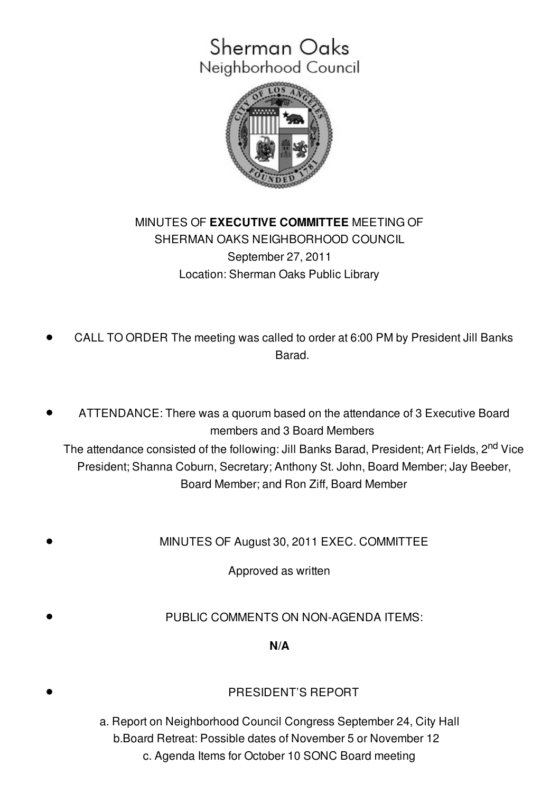# Sherman Oaks Neighborhood Council



## MINUTES OF **EXECUTIVE COMMITTEE** MEETING OF SHERMAN OAKS NEIGHBORHOOD COUNCIL September 27, 2011 Location: Sherman Oaks Public Library

- CALL TO ORDER The meeting was called to order at 6:00 PM by President Jill Banks Barad.
- ATTENDANCE: There was a quorum based on the attendance of 3 Executive Board members and 3 Board Members

The attendance consisted of the following: Jill Banks Barad, President; Art Fields, 2<sup>nd</sup> Vice President; Shanna Coburn, Secretary; Anthony St. John, Board Member; Jay Beeber, Board Member; and Ron Ziff, Board Member

MINUTES OF August 30, 2011 EXEC. COMMITTEE

Approved as written

PUBLIC COMMENTS ON NON-AGENDA ITEMS:

**N/A**

#### PRESIDENT'S REPORT

a. Report on Neighborhood Council Congress September 24, City Hall b.Board Retreat: Possible dates of November 5 or November 12 c. Agenda Items for October 10 SONC Board meeting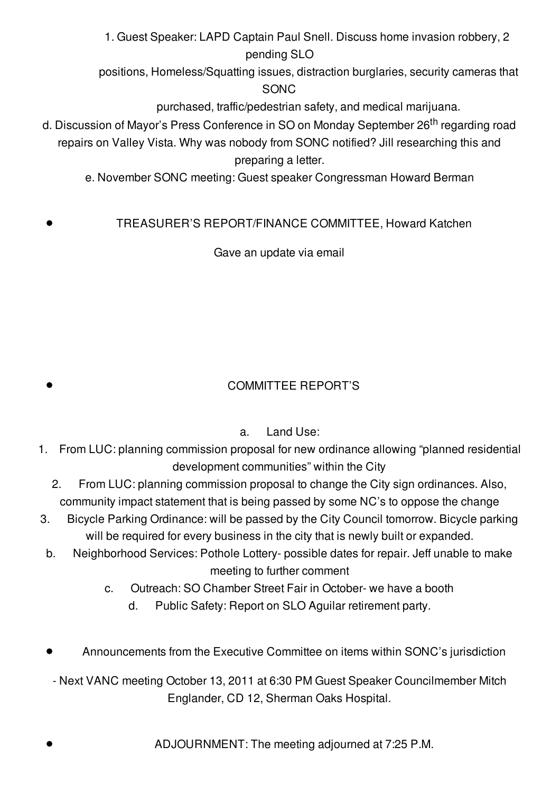1. Guest Speaker: LAPD Captain Paul Snell. Discuss home invasion robbery, 2 pending SLO

positions, Homeless/Squatting issues, distraction burglaries, security cameras that SONC

purchased, traffic/pedestrian safety, and medical marijuana.

- d. Discussion of Mayor's Press Conference in SO on Monday September 26<sup>th</sup> regarding road repairs on Valley Vista. Why was nobody from SONC notified? Jill researching this and preparing a letter.
	- e. November SONC meeting: Guest speaker Congressman Howard Berman

### TREASURER'S REPORT/FINANCE COMMITTEE, Howard Katchen

Gave an update via email

# COMMITTEE REPORT'S

### a. Land Use:

- 1. From LUC: planning commission proposal for new ordinance allowing "planned residential development communities" within the City
	- 2. From LUC: planning commission proposal to change the City sign ordinances. Also, community impact statement that is being passed by some NC's to oppose the change
- 3. Bicycle Parking Ordinance: will be passed by the City Council tomorrow. Bicycle parking will be required for every business in the city that is newly built or expanded.
- b. Neighborhood Services: Pothole Lottery- possible dates for repair. Jeff unable to make meeting to further comment
	- c. Outreach: SO Chamber Street Fair in October- we have a booth
		- d. Public Safety: Report on SLO Aguilar retirement party.
- Announcements from the Executive Committee on items within SONC's jurisdiction
- Next VANC meeting October 13, 2011 at 6:30 PM Guest Speaker Councilmember Mitch Englander, CD 12, Sherman Oaks Hospital.